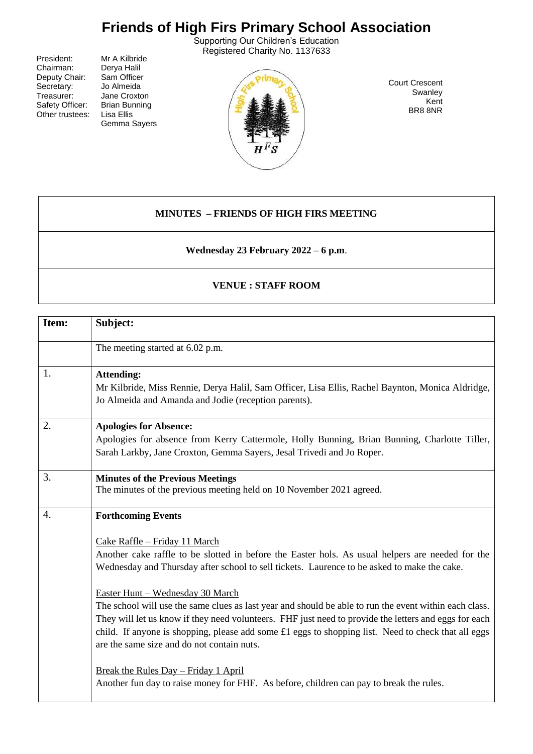## **Friends of High Firs Primary School Association**

Supporting Our Children's Education Registered Charity No. 1137633

President: Mr A Kilbride<br>Chairman: Derva Halil Deputy Chair: Sam Officer<br>Secretary: Jo Almeida Secretary:<br>Treasurer: Safety Officer: Brian Bun<br>Other trustees: Lisa Ellis Other trustees:

Derya Halil<br>Sam Officer Jane Croxton<br>Brian Bunning Gemma Sayers



Court Crescent **Swanley** Kent BR8 8NR

## **MINUTES – FRIENDS OF HIGH FIRS MEETING**

**Wednesday 23 February 2022 – 6 p.m**.

## **VENUE : STAFF ROOM**

| Item: | Subject:                                                                                                                                                                                                                                                                                                                                                                                                                                                                                                                                                                                                                                                                                                                                                                                                            |  |
|-------|---------------------------------------------------------------------------------------------------------------------------------------------------------------------------------------------------------------------------------------------------------------------------------------------------------------------------------------------------------------------------------------------------------------------------------------------------------------------------------------------------------------------------------------------------------------------------------------------------------------------------------------------------------------------------------------------------------------------------------------------------------------------------------------------------------------------|--|
|       | The meeting started at 6.02 p.m.                                                                                                                                                                                                                                                                                                                                                                                                                                                                                                                                                                                                                                                                                                                                                                                    |  |
| 1.    | <b>Attending:</b><br>Mr Kilbride, Miss Rennie, Derya Halil, Sam Officer, Lisa Ellis, Rachel Baynton, Monica Aldridge,<br>Jo Almeida and Amanda and Jodie (reception parents).                                                                                                                                                                                                                                                                                                                                                                                                                                                                                                                                                                                                                                       |  |
| 2.    | <b>Apologies for Absence:</b><br>Apologies for absence from Kerry Cattermole, Holly Bunning, Brian Bunning, Charlotte Tiller,<br>Sarah Larkby, Jane Croxton, Gemma Sayers, Jesal Trivedi and Jo Roper.                                                                                                                                                                                                                                                                                                                                                                                                                                                                                                                                                                                                              |  |
| 3.    | <b>Minutes of the Previous Meetings</b><br>The minutes of the previous meeting held on 10 November 2021 agreed.                                                                                                                                                                                                                                                                                                                                                                                                                                                                                                                                                                                                                                                                                                     |  |
| 4.    | <b>Forthcoming Events</b><br>Cake Raffle - Friday 11 March<br>Another cake raffle to be slotted in before the Easter hols. As usual helpers are needed for the<br>Wednesday and Thursday after school to sell tickets. Laurence to be asked to make the cake.<br>Easter Hunt - Wednesday 30 March<br>The school will use the same clues as last year and should be able to run the event within each class.<br>They will let us know if they need volunteers. FHF just need to provide the letters and eggs for each<br>child. If anyone is shopping, please add some £1 eggs to shopping list. Need to check that all eggs<br>are the same size and do not contain nuts.<br><u>Break the Rules Day – Friday 1 April</u><br>Another fun day to raise money for FHF. As before, children can pay to break the rules. |  |